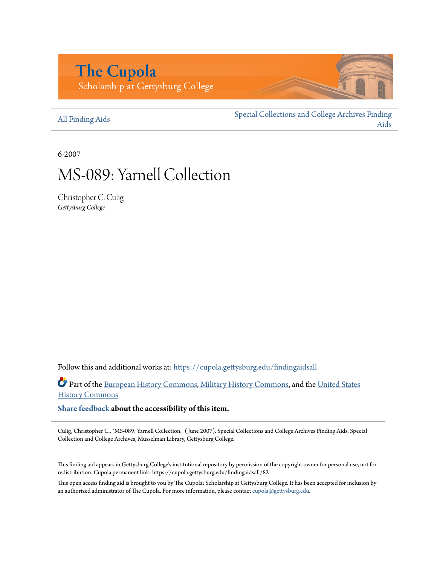# **The Cupola** Scholarship at Gettysburg College

[All Finding Aids](https://cupola.gettysburg.edu/findingaidsall?utm_source=cupola.gettysburg.edu%2Ffindingaidsall%2F82&utm_medium=PDF&utm_campaign=PDFCoverPages)

[Special Collections and College Archives Finding](https://cupola.gettysburg.edu/findingaids?utm_source=cupola.gettysburg.edu%2Ffindingaidsall%2F82&utm_medium=PDF&utm_campaign=PDFCoverPages) [Aids](https://cupola.gettysburg.edu/findingaids?utm_source=cupola.gettysburg.edu%2Ffindingaidsall%2F82&utm_medium=PDF&utm_campaign=PDFCoverPages)

6-2007

# MS-089: Yarnell Collection

Christopher C. Culig *Gettysburg College*

Follow this and additional works at: [https://cupola.gettysburg.edu/findingaidsall](https://cupola.gettysburg.edu/findingaidsall?utm_source=cupola.gettysburg.edu%2Ffindingaidsall%2F82&utm_medium=PDF&utm_campaign=PDFCoverPages)

Part of the [European History Commons](http://network.bepress.com/hgg/discipline/492?utm_source=cupola.gettysburg.edu%2Ffindingaidsall%2F82&utm_medium=PDF&utm_campaign=PDFCoverPages), [Military History Commons](http://network.bepress.com/hgg/discipline/504?utm_source=cupola.gettysburg.edu%2Ffindingaidsall%2F82&utm_medium=PDF&utm_campaign=PDFCoverPages), and the [United States](http://network.bepress.com/hgg/discipline/495?utm_source=cupola.gettysburg.edu%2Ffindingaidsall%2F82&utm_medium=PDF&utm_campaign=PDFCoverPages) [History Commons](http://network.bepress.com/hgg/discipline/495?utm_source=cupola.gettysburg.edu%2Ffindingaidsall%2F82&utm_medium=PDF&utm_campaign=PDFCoverPages)

**[Share feedback](https://docs.google.com/a/bepress.com/forms/d/1h9eEcpBPj5POs5oO6Y5A0blXRmZqykoonyYiZUNyEq8/viewform) about the accessibility of this item.**

Culig, Christopher C., "MS-089: Yarnell Collection." ( June 2007). Special Collections and College Archives Finding Aids. Special Collection and College Archives, Musselman Library, Gettysburg College.

This finding aid appears in Gettysburg College's institutional repository by permission of the copyright owner for personal use, not for redistribution. Cupola permanent link: https://cupola.gettysburg.edu/findingaidsall/82

This open access finding aid is brought to you by The Cupola: Scholarship at Gettysburg College. It has been accepted for inclusion by an authorized administrator of The Cupola. For more information, please contact [cupola@gettysburg.edu](mailto:cupola@gettysburg.edu).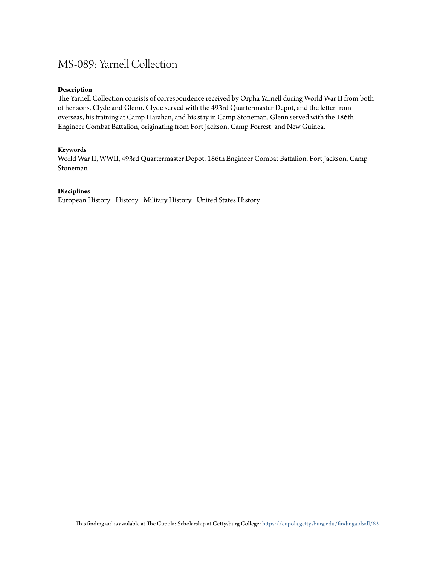# MS-089: Yarnell Collection

#### **Description**

The Yarnell Collection consists of correspondence received by Orpha Yarnell during World War II from both of her sons, Clyde and Glenn. Clyde served with the 493rd Quartermaster Depot, and the letter from overseas, his training at Camp Harahan, and his stay in Camp Stoneman. Glenn served with the 186th Engineer Combat Battalion, originating from Fort Jackson, Camp Forrest, and New Guinea.

#### **Keywords**

World War II, WWII, 493rd Quartermaster Depot, 186th Engineer Combat Battalion, Fort Jackson, Camp Stoneman

#### **Disciplines**

European History | History | Military History | United States History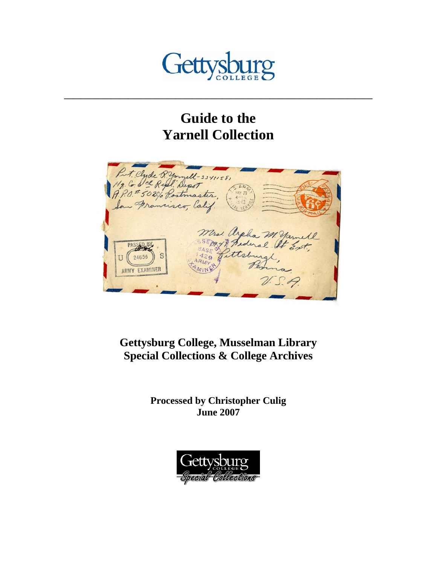

# **Guide to the Yarnell Collection**

**\_\_\_\_\_\_\_\_\_\_\_\_\_\_\_\_\_\_\_\_\_\_\_\_\_\_\_\_\_\_\_\_\_\_\_\_\_\_\_\_\_\_\_\_\_\_\_\_\_\_\_\_\_\_\_\_\_\_\_\_\_\_\_\_\_\_\_\_\_\_\_\_** 



# **Gettysburg College, Musselman Library Special Collections & College Archives**

**Processed by Christopher Culig June 2007** 

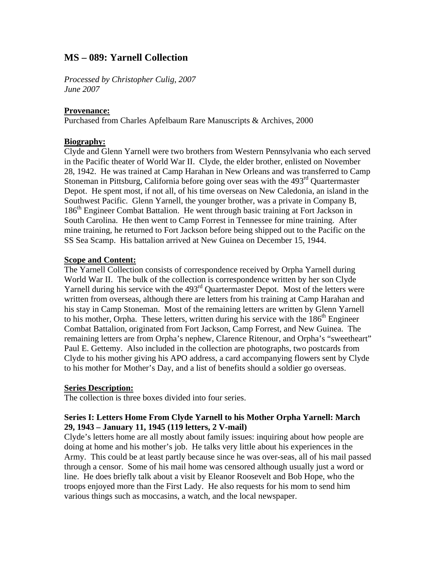# **MS – 089: Yarnell Collection**

*Processed by Christopher Culig*, *2007 June 2007* 

#### **Provenance:**

Purchased from Charles Apfelbaum Rare Manuscripts & Archives, 2000

#### **Biography:**

Clyde and Glenn Yarnell were two brothers from Western Pennsylvania who each served in the Pacific theater of World War II. Clyde, the elder brother, enlisted on November 28, 1942. He was trained at Camp Harahan in New Orleans and was transferred to Camp Stoneman in Pittsburg, California before going over seas with the 493<sup>rd</sup> Quartermaster Depot. He spent most, if not all, of his time overseas on New Caledonia, an island in the Southwest Pacific. Glenn Yarnell, the younger brother, was a private in Company B, 186th Engineer Combat Battalion. He went through basic training at Fort Jackson in South Carolina. He then went to Camp Forrest in Tennessee for mine training. After mine training, he returned to Fort Jackson before being shipped out to the Pacific on the SS Sea Scamp. His battalion arrived at New Guinea on December 15, 1944.

#### **Scope and Content:**

The Yarnell Collection consists of correspondence received by Orpha Yarnell during World War II. The bulk of the collection is correspondence written by her son Clyde Yarnell during his service with the 493<sup>rd</sup> Quartermaster Depot. Most of the letters were written from overseas, although there are letters from his training at Camp Harahan and his stay in Camp Stoneman. Most of the remaining letters are written by Glenn Yarnell to his mother, Orpha. These letters, written during his service with the  $186<sup>th</sup>$  Engineer Combat Battalion, originated from Fort Jackson, Camp Forrest, and New Guinea. The remaining letters are from Orpha's nephew, Clarence Ritenour, and Orpha's "sweetheart" Paul E. Gettemy. Also included in the collection are photographs, two postcards from Clyde to his mother giving his APO address, a card accompanying flowers sent by Clyde to his mother for Mother's Day, and a list of benefits should a soldier go overseas.

#### **Series Description:**

The collection is three boxes divided into four series.

#### **Series I: Letters Home From Clyde Yarnell to his Mother Orpha Yarnell: March 29, 1943 – January 11, 1945 (119 letters, 2 V-mail)**

Clyde's letters home are all mostly about family issues: inquiring about how people are doing at home and his mother's job. He talks very little about his experiences in the Army. This could be at least partly because since he was over-seas, all of his mail passed through a censor. Some of his mail home was censored although usually just a word or line. He does briefly talk about a visit by Eleanor Roosevelt and Bob Hope, who the troops enjoyed more than the First Lady. He also requests for his mom to send him various things such as moccasins, a watch, and the local newspaper.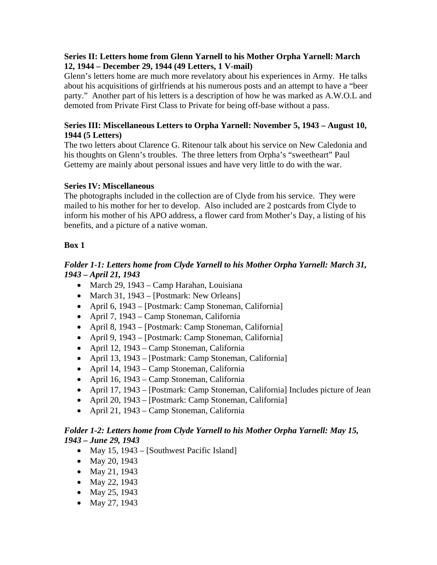### **Series II: Letters home from Glenn Yarnell to his Mother Orpha Yarnell: March 12, 1944 – December 29, 1944 (49 Letters, 1 V-mail)**

Glenn's letters home are much more revelatory about his experiences in Army. He talks about his acquisitions of girlfriends at his numerous posts and an attempt to have a "beer party." Another part of his letters is a description of how he was marked as A.W.O.L and demoted from Private First Class to Private for being off-base without a pass.

#### **Series III: Miscellaneous Letters to Orpha Yarnell: November 5, 1943 – August 10, 1944 (5 Letters)**

The two letters about Clarence G. Ritenour talk about his service on New Caledonia and his thoughts on Glenn's troubles. The three letters from Orpha's "sweetheart" Paul Gettemy are mainly about personal issues and have very little to do with the war.

### **Series IV: Miscellaneous**

The photographs included in the collection are of Clyde from his service. They were mailed to his mother for her to develop. Also included are 2 postcards from Clyde to inform his mother of his APO address, a flower card from Mother's Day, a listing of his benefits, and a picture of a native woman.

### **Box 1**

## *Folder 1-1: Letters home from Clyde Yarnell to his Mother Orpha Yarnell: March 31, 1943 – April 21, 1943*

- March 29, 1943 Camp Harahan, Louisiana
- March 31, 1943 [Postmark: New Orleans]
- April 6, 1943 [Postmark: Camp Stoneman, California]
- April 7, 1943 Camp Stoneman, California
- April 8, 1943 [Postmark: Camp Stoneman, California]
- April 9, 1943 [Postmark: Camp Stoneman, California]
- April 12, 1943 Camp Stoneman, California
- April 13, 1943 [Postmark: Camp Stoneman, California]
- April 14, 1943 Camp Stoneman, California
- April 16, 1943 Camp Stoneman, California
- April 17, 1943 [Postmark: Camp Stoneman, California] Includes picture of Jean
- April 20, 1943 [Postmark: Camp Stoneman, California]
- April 21, 1943 Camp Stoneman, California

### *Folder 1-2: Letters home from Clyde Yarnell to his Mother Orpha Yarnell: May 15, 1943 – June 29, 1943*

- May 15, 1943 [Southwest Pacific Island]
- May 20, 1943
- May 21, 1943
- May 22, 1943
- May 25, 1943
- May 27, 1943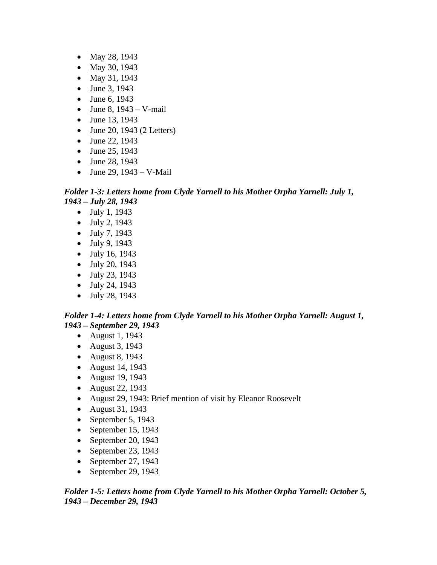- May 28, 1943
- May 30, 1943
- May 31, 1943
- June 3, 1943
- June 6, 1943
- June 8,  $1943 V$ -mail
- June 13, 1943
- June 20, 1943 (2 Letters)
- June 22, 1943
- June 25, 1943
- June 28, 1943
- June 29,  $1943 V$ -Mail

### *Folder 1-3: Letters home from Clyde Yarnell to his Mother Orpha Yarnell: July 1, 1943 – July 28, 1943*

- July 1, 1943
- July 2, 1943
- July 7, 1943
- July 9, 1943
- July 16, 1943
- July 20, 1943
- July 23, 1943
- July 24, 1943
- July 28, 1943

### *Folder 1-4: Letters home from Clyde Yarnell to his Mother Orpha Yarnell: August 1, 1943 – September 29, 1943*

- August 1, 1943
- August 3, 1943
- August 8, 1943
- August 14, 1943
- August 19, 1943
- August 22, 1943
- August 29, 1943: Brief mention of visit by Eleanor Roosevelt
- August 31, 1943
- September 5, 1943
- September 15, 1943
- September 20, 1943
- September 23, 1943
- September 27, 1943
- September 29, 1943

### *Folder 1-5: Letters home from Clyde Yarnell to his Mother Orpha Yarnell: October 5, 1943 – December 29, 1943*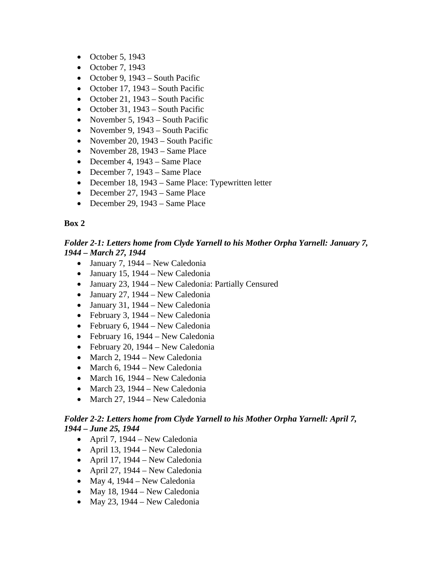- October 5, 1943
- October 7, 1943
- October 9, 1943 South Pacific
- October 17, 1943 South Pacific
- October 21, 1943 South Pacific
- October 31, 1943 South Pacific
- November 5, 1943 South Pacific
- November 9, 1943 South Pacific
- November 20, 1943 South Pacific
- November 28, 1943 Same Place
- December 4, 1943 Same Place
- December 7, 1943 Same Place
- December 18, 1943 Same Place: Typewritten letter
- December 27, 1943 Same Place
- December 29, 1943 Same Place

### **Box 2**

# *Folder 2-1: Letters home from Clyde Yarnell to his Mother Orpha Yarnell: January 7, 1944 – March 27, 1944*

- January 7, 1944 New Caledonia
- January 15, 1944 New Caledonia
- January 23, 1944 New Caledonia: Partially Censured
- January 27, 1944 New Caledonia
- January 31, 1944 New Caledonia
- February 3, 1944 New Caledonia
- February 6, 1944 New Caledonia
- February 16, 1944 New Caledonia
- February 20, 1944 New Caledonia
- March 2, 1944 New Caledonia
- March 6, 1944 New Caledonia
- March 16, 1944 New Caledonia
- March 23, 1944 New Caledonia
- March 27, 1944 New Caledonia

# *Folder 2-2: Letters home from Clyde Yarnell to his Mother Orpha Yarnell: April 7, 1944 – June 25, 1944*

- April 7, 1944 New Caledonia
- April 13, 1944 New Caledonia
- April 17, 1944 New Caledonia
- April 27, 1944 New Caledonia
- May 4,  $1944$  New Caledonia
- May 18, 1944 New Caledonia
- May 23, 1944 New Caledonia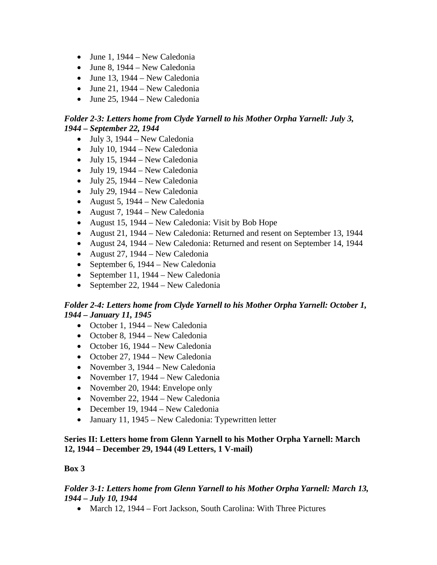- June 1,  $1944 New Caledonia$
- June 8,  $1944 New Caledonia$
- June 13, 1944 New Caledonia
- June 21, 1944 New Caledonia
- June 25, 1944 New Caledonia

# *Folder 2-3: Letters home from Clyde Yarnell to his Mother Orpha Yarnell: July 3, 1944 – September 22, 1944*

- July 3,  $1944 New Caledonia$
- July 10,  $1944 New$  Caledonia
- July 15, 1944 New Caledonia
- July 19, 1944 New Caledonia
- July 25, 1944 New Caledonia
- July 29, 1944 New Caledonia
- August 5, 1944 New Caledonia
- August 7, 1944 New Caledonia
- August 15, 1944 New Caledonia: Visit by Bob Hope
- August 21, 1944 New Caledonia: Returned and resent on September 13, 1944
- August 24, 1944 New Caledonia: Returned and resent on September 14, 1944
- August 27, 1944 New Caledonia
- September 6, 1944 New Caledonia
- September 11, 1944 New Caledonia
- September 22, 1944 New Caledonia

## *Folder 2-4: Letters home from Clyde Yarnell to his Mother Orpha Yarnell: October 1, 1944 – January 11, 1945*

- October 1, 1944 New Caledonia
- October 8, 1944 New Caledonia
- October 16, 1944 New Caledonia
- October 27, 1944 New Caledonia
- November 3, 1944 New Caledonia
- November 17, 1944 New Caledonia
- November 20, 1944: Envelope only
- November 22, 1944 New Caledonia
- December 19, 1944 New Caledonia
- January 11, 1945 New Caledonia: Typewritten letter

### **Series II: Letters home from Glenn Yarnell to his Mother Orpha Yarnell: March 12, 1944 – December 29, 1944 (49 Letters, 1 V-mail)**

### **Box 3**

### *Folder 3-1: Letters home from Glenn Yarnell to his Mother Orpha Yarnell: March 13, 1944 – July 10, 1944*

• March 12, 1944 – Fort Jackson, South Carolina: With Three Pictures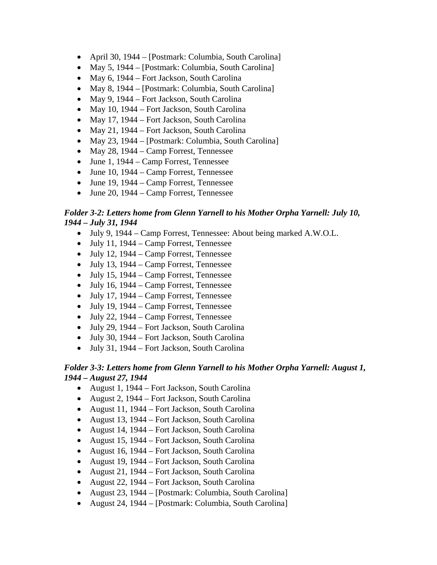- April 30, 1944 [Postmark: Columbia, South Carolina]
- May 5, 1944 [Postmark: Columbia, South Carolina]
- May 6, 1944 Fort Jackson, South Carolina
- May 8, 1944 [Postmark: Columbia, South Carolina]
- May 9, 1944 Fort Jackson, South Carolina
- May 10, 1944 Fort Jackson, South Carolina
- May 17, 1944 Fort Jackson, South Carolina
- May 21, 1944 Fort Jackson, South Carolina
- May 23, 1944 [Postmark: Columbia, South Carolina]
- May 28, 1944 Camp Forrest, Tennessee
- June 1, 1944 Camp Forrest, Tennessee
- June 10, 1944 Camp Forrest, Tennessee
- June 19, 1944 Camp Forrest, Tennessee
- June 20, 1944 Camp Forrest, Tennessee

#### *Folder 3-2: Letters home from Glenn Yarnell to his Mother Orpha Yarnell: July 10, 1944 – July 31, 1944*

- July 9, 1944 Camp Forrest, Tennessee: About being marked A.W.O.L.
- July 11, 1944 Camp Forrest, Tennessee
- July 12, 1944 Camp Forrest, Tennessee
- July 13, 1944 Camp Forrest, Tennessee
- July 15, 1944 Camp Forrest, Tennessee
- July 16, 1944 Camp Forrest, Tennessee
- July 17, 1944 Camp Forrest, Tennessee
- July 19, 1944 Camp Forrest, Tennessee
- July 22, 1944 Camp Forrest, Tennessee
- July 29, 1944 Fort Jackson, South Carolina
- July 30, 1944 Fort Jackson, South Carolina
- July 31, 1944 Fort Jackson, South Carolina

#### *Folder 3-3: Letters home from Glenn Yarnell to his Mother Orpha Yarnell: August 1, 1944 – August 27, 1944*

- August 1, 1944 Fort Jackson, South Carolina
- August 2, 1944 Fort Jackson, South Carolina
- August 11, 1944 Fort Jackson, South Carolina
- August 13, 1944 Fort Jackson, South Carolina
- August 14, 1944 Fort Jackson, South Carolina
- August 15, 1944 Fort Jackson, South Carolina
- August 16, 1944 Fort Jackson, South Carolina
- August 19, 1944 Fort Jackson, South Carolina
- August 21, 1944 Fort Jackson, South Carolina
- August 22, 1944 Fort Jackson, South Carolina
- August 23, 1944 [Postmark: Columbia, South Carolina]
- August 24, 1944 [Postmark: Columbia, South Carolina]